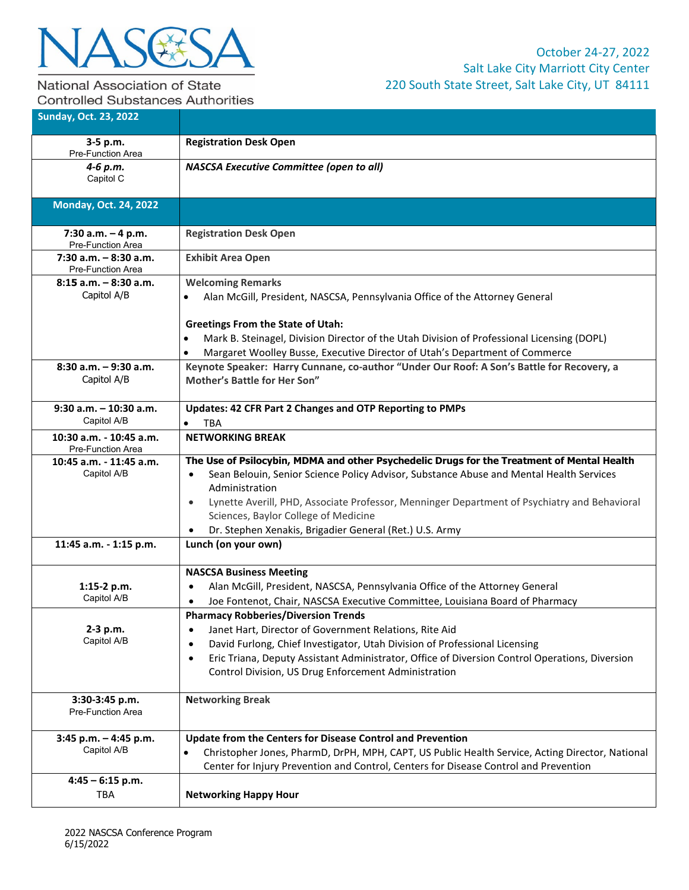

## National Association of State **Controlled Substances Authorities**

| <b>Sunday, Oct. 23, 2022</b>                         |                                                                                                                                                                                                                                                                                                                                                                                                                                                   |
|------------------------------------------------------|---------------------------------------------------------------------------------------------------------------------------------------------------------------------------------------------------------------------------------------------------------------------------------------------------------------------------------------------------------------------------------------------------------------------------------------------------|
| 3-5 p.m.<br>Pre-Function Area                        | <b>Registration Desk Open</b>                                                                                                                                                                                                                                                                                                                                                                                                                     |
| 4-6 p.m.<br>Capitol C                                | <b>NASCSA Executive Committee (open to all)</b>                                                                                                                                                                                                                                                                                                                                                                                                   |
| <b>Monday, Oct. 24, 2022</b>                         |                                                                                                                                                                                                                                                                                                                                                                                                                                                   |
| 7:30 a.m. $-4$ p.m.<br>Pre-Function Area             | <b>Registration Desk Open</b>                                                                                                                                                                                                                                                                                                                                                                                                                     |
| $7:30$ a.m. $-8:30$ a.m.<br><b>Pre-Function Area</b> | <b>Exhibit Area Open</b>                                                                                                                                                                                                                                                                                                                                                                                                                          |
| $8:15$ a.m. $-8:30$ a.m.<br>Capitol A/B              | <b>Welcoming Remarks</b><br>Alan McGill, President, NASCSA, Pennsylvania Office of the Attorney General<br>$\bullet$                                                                                                                                                                                                                                                                                                                              |
|                                                      | <b>Greetings From the State of Utah:</b><br>Mark B. Steinagel, Division Director of the Utah Division of Professional Licensing (DOPL)<br>$\bullet$<br>Margaret Woolley Busse, Executive Director of Utah's Department of Commerce                                                                                                                                                                                                                |
| $8:30$ a.m. $-9:30$ a.m.<br>Capitol A/B              | Keynote Speaker: Harry Cunnane, co-author "Under Our Roof: A Son's Battle for Recovery, a<br>Mother's Battle for Her Son"                                                                                                                                                                                                                                                                                                                         |
| $9:30$ a.m. $-10:30$ a.m.<br>Capitol A/B             | Updates: 42 CFR Part 2 Changes and OTP Reporting to PMPs<br><b>TBA</b>                                                                                                                                                                                                                                                                                                                                                                            |
| 10:30 a.m. - 10:45 a.m.<br>Pre-Function Area         | <b>NETWORKING BREAK</b>                                                                                                                                                                                                                                                                                                                                                                                                                           |
| 10:45 a.m. - 11:45 a.m.<br>Capitol A/B               | The Use of Psilocybin, MDMA and other Psychedelic Drugs for the Treatment of Mental Health<br>Sean Belouin, Senior Science Policy Advisor, Substance Abuse and Mental Health Services<br>$\bullet$<br>Administration<br>Lynette Averill, PHD, Associate Professor, Menninger Department of Psychiatry and Behavioral<br>$\bullet$<br>Sciences, Baylor College of Medicine<br>Dr. Stephen Xenakis, Brigadier General (Ret.) U.S. Army<br>$\bullet$ |
| 11:45 a.m. - 1:15 p.m.                               | Lunch (on your own)                                                                                                                                                                                                                                                                                                                                                                                                                               |
| 1:15-2 $p.m.$<br>Capitol A/B                         | <b>NASCSA Business Meeting</b><br>Alan McGill, President, NASCSA, Pennsylvania Office of the Attorney General<br>$\bullet$<br>Joe Fontenot, Chair, NASCSA Executive Committee, Louisiana Board of Pharmacy<br>$\bullet$                                                                                                                                                                                                                           |
| 2-3 p.m.<br>Capitol A/B                              | <b>Pharmacy Robberies/Diversion Trends</b><br>Janet Hart, Director of Government Relations, Rite Aid<br>$\bullet$<br>David Furlong, Chief Investigator, Utah Division of Professional Licensing<br>$\bullet$<br>Eric Triana, Deputy Assistant Administrator, Office of Diversion Control Operations, Diversion<br>$\bullet$<br>Control Division, US Drug Enforcement Administration                                                               |
| 3:30-3:45 p.m.<br>Pre-Function Area                  | <b>Networking Break</b>                                                                                                                                                                                                                                                                                                                                                                                                                           |
| $3:45$ p.m. $-4:45$ p.m.<br>Capitol A/B              | Update from the Centers for Disease Control and Prevention<br>Christopher Jones, PharmD, DrPH, MPH, CAPT, US Public Health Service, Acting Director, National<br>Center for Injury Prevention and Control, Centers for Disease Control and Prevention                                                                                                                                                                                             |
| $4:45 - 6:15$ p.m.<br><b>TBA</b>                     | <b>Networking Happy Hour</b>                                                                                                                                                                                                                                                                                                                                                                                                                      |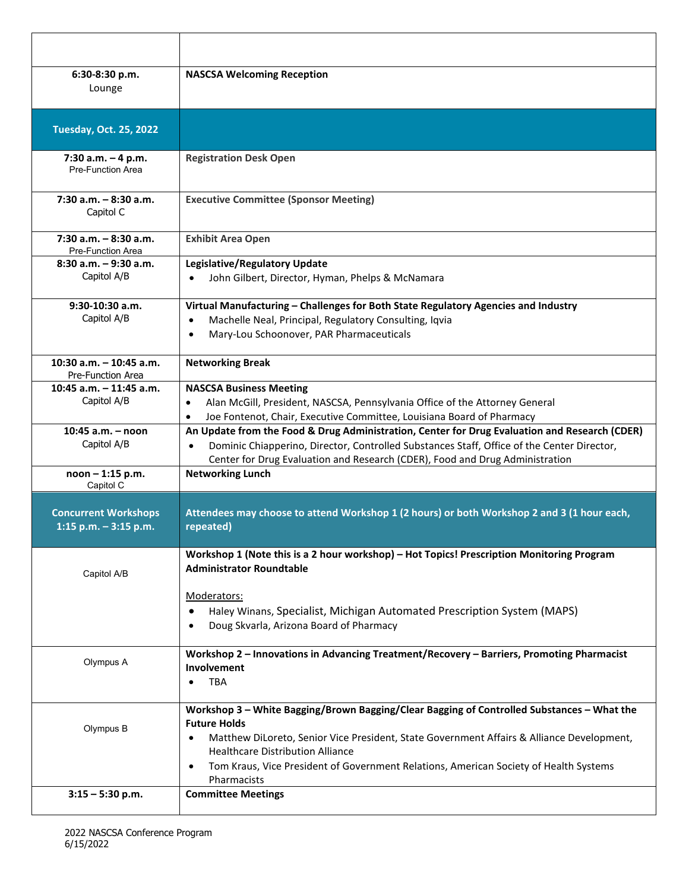| 6:30-8:30 p.m.<br>Lounge                               | <b>NASCSA Welcoming Reception</b>                                                                                                                                                                                                                                                                                                                                                           |
|--------------------------------------------------------|---------------------------------------------------------------------------------------------------------------------------------------------------------------------------------------------------------------------------------------------------------------------------------------------------------------------------------------------------------------------------------------------|
| <b>Tuesday, Oct. 25, 2022</b>                          |                                                                                                                                                                                                                                                                                                                                                                                             |
| 7:30 a.m. - 4 p.m.<br>Pre-Function Area                | <b>Registration Desk Open</b>                                                                                                                                                                                                                                                                                                                                                               |
| $7:30$ a.m. $-8:30$ a.m.<br>Capitol C                  | <b>Executive Committee (Sponsor Meeting)</b>                                                                                                                                                                                                                                                                                                                                                |
| $7:30$ a.m. $-8:30$ a.m.<br><b>Pre-Function Area</b>   | <b>Exhibit Area Open</b>                                                                                                                                                                                                                                                                                                                                                                    |
| $8:30$ a.m. $-9:30$ a.m.<br>Capitol A/B                | Legislative/Regulatory Update<br>John Gilbert, Director, Hyman, Phelps & McNamara<br>$\bullet$                                                                                                                                                                                                                                                                                              |
| $9:30-10:30$ a.m.<br>Capitol A/B                       | Virtual Manufacturing - Challenges for Both State Regulatory Agencies and Industry<br>Machelle Neal, Principal, Regulatory Consulting, Iqvia<br>$\bullet$<br>Mary-Lou Schoonover, PAR Pharmaceuticals<br>$\bullet$                                                                                                                                                                          |
| 10:30 $a.m. - 10:45 a.m.$<br>Pre-Function Area         | <b>Networking Break</b>                                                                                                                                                                                                                                                                                                                                                                     |
| 10:45 $a.m. - 11:45 a.m.$<br>Capitol A/B               | <b>NASCSA Business Meeting</b><br>Alan McGill, President, NASCSA, Pennsylvania Office of the Attorney General<br>$\bullet$<br>Joe Fontenot, Chair, Executive Committee, Louisiana Board of Pharmacy<br>$\bullet$                                                                                                                                                                            |
| $10:45$ a.m. $-$ noon<br>Capitol A/B                   | An Update from the Food & Drug Administration, Center for Drug Evaluation and Research (CDER)<br>Dominic Chiapperino, Director, Controlled Substances Staff, Office of the Center Director,<br>Center for Drug Evaluation and Research (CDER), Food and Drug Administration                                                                                                                 |
| noon - 1:15 p.m.<br>Capitol C                          | <b>Networking Lunch</b>                                                                                                                                                                                                                                                                                                                                                                     |
| <b>Concurrent Workshops</b><br>1:15 p.m. $-$ 3:15 p.m. | Attendees may choose to attend Workshop 1 (2 hours) or both Workshop 2 and 3 (1 hour each,<br>repeated)                                                                                                                                                                                                                                                                                     |
| Capitol A/B                                            | Workshop 1 (Note this is a 2 hour workshop) - Hot Topics! Prescription Monitoring Program<br><b>Administrator Roundtable</b>                                                                                                                                                                                                                                                                |
|                                                        | Moderators:<br>Haley Winans, Specialist, Michigan Automated Prescription System (MAPS)<br>$\bullet$<br>Doug Skvarla, Arizona Board of Pharmacy<br>$\bullet$                                                                                                                                                                                                                                 |
| Olympus A                                              | Workshop 2 - Innovations in Advancing Treatment/Recovery - Barriers, Promoting Pharmacist<br>Involvement<br><b>TBA</b>                                                                                                                                                                                                                                                                      |
| Olympus B                                              | Workshop 3 - White Bagging/Brown Bagging/Clear Bagging of Controlled Substances - What the<br><b>Future Holds</b><br>Matthew DiLoreto, Senior Vice President, State Government Affairs & Alliance Development,<br>$\bullet$<br><b>Healthcare Distribution Alliance</b><br>Tom Kraus, Vice President of Government Relations, American Society of Health Systems<br>$\bullet$<br>Pharmacists |
| $3:15 - 5:30$ p.m.                                     | <b>Committee Meetings</b>                                                                                                                                                                                                                                                                                                                                                                   |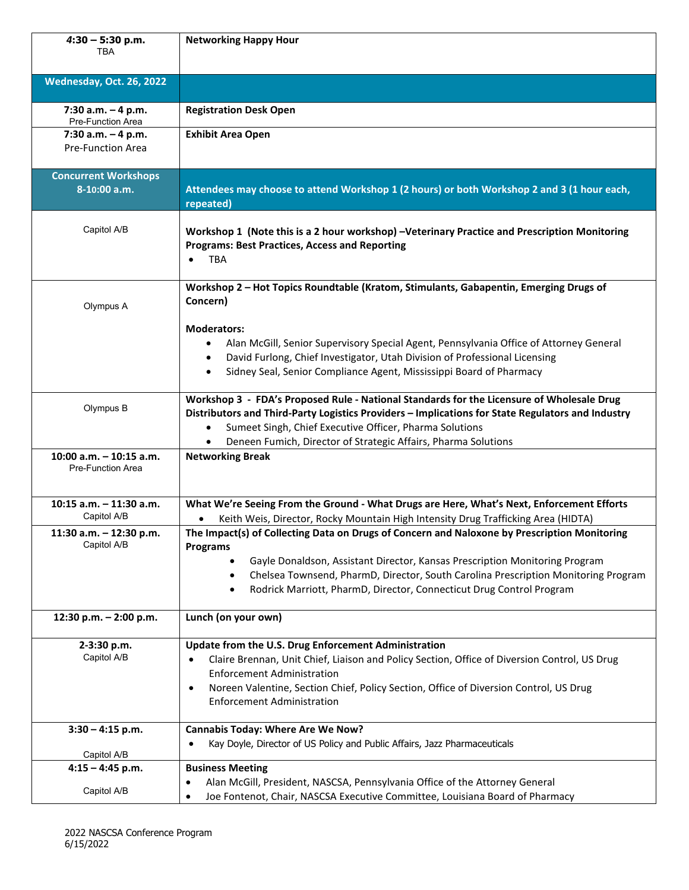| $4:30 - 5:30$ p.m.<br>TBA                      | <b>Networking Happy Hour</b>                                                                                                                                                                                                                                                                                                                                 |
|------------------------------------------------|--------------------------------------------------------------------------------------------------------------------------------------------------------------------------------------------------------------------------------------------------------------------------------------------------------------------------------------------------------------|
| Wednesday, Oct. 26, 2022                       |                                                                                                                                                                                                                                                                                                                                                              |
| 7:30 a.m. $-4$ p.m.<br>Pre-Function Area       | <b>Registration Desk Open</b>                                                                                                                                                                                                                                                                                                                                |
| 7:30 a.m. $-4$ p.m.<br>Pre-Function Area       | <b>Exhibit Area Open</b>                                                                                                                                                                                                                                                                                                                                     |
| <b>Concurrent Workshops</b><br>8-10:00 a.m.    | Attendees may choose to attend Workshop 1 (2 hours) or both Workshop 2 and 3 (1 hour each,<br>repeated)                                                                                                                                                                                                                                                      |
| Capitol A/B                                    | Workshop 1 (Note this is a 2 hour workshop) -Veterinary Practice and Prescription Monitoring<br><b>Programs: Best Practices, Access and Reporting</b><br><b>TBA</b><br>$\bullet$                                                                                                                                                                             |
| Olympus A                                      | Workshop 2 - Hot Topics Roundtable (Kratom, Stimulants, Gabapentin, Emerging Drugs of<br>Concern)                                                                                                                                                                                                                                                            |
|                                                | <b>Moderators:</b><br>Alan McGill, Senior Supervisory Special Agent, Pennsylvania Office of Attorney General<br>$\bullet$<br>David Furlong, Chief Investigator, Utah Division of Professional Licensing<br>$\bullet$<br>Sidney Seal, Senior Compliance Agent, Mississippi Board of Pharmacy<br>$\bullet$                                                     |
| Olympus B                                      | Workshop 3 - FDA's Proposed Rule - National Standards for the Licensure of Wholesale Drug<br>Distributors and Third-Party Logistics Providers - Implications for State Regulators and Industry<br>Sumeet Singh, Chief Executive Officer, Pharma Solutions<br>$\bullet$<br>Deneen Fumich, Director of Strategic Affairs, Pharma Solutions<br>$\bullet$        |
| 10:00 a.m. $-$ 10:15 a.m.<br>Pre-Function Area | <b>Networking Break</b>                                                                                                                                                                                                                                                                                                                                      |
| 10:15 a.m. - 11:30 a.m.<br>Capitol A/B         | What We're Seeing From the Ground - What Drugs are Here, What's Next, Enforcement Efforts<br>Keith Weis, Director, Rocky Mountain High Intensity Drug Trafficking Area (HIDTA)                                                                                                                                                                               |
| 11:30 a.m. $-$ 12:30 p.m.<br>Capitol A/B       | The Impact(s) of Collecting Data on Drugs of Concern and Naloxone by Prescription Monitoring<br><b>Programs</b><br>Gayle Donaldson, Assistant Director, Kansas Prescription Monitoring Program<br>Chelsea Townsend, PharmD, Director, South Carolina Prescription Monitoring Program<br>Rodrick Marriott, PharmD, Director, Connecticut Drug Control Program |
| 12:30 p.m. - 2:00 p.m.                         | Lunch (on your own)                                                                                                                                                                                                                                                                                                                                          |
| 2-3:30 p.m.<br>Capitol A/B                     | Update from the U.S. Drug Enforcement Administration<br>Claire Brennan, Unit Chief, Liaison and Policy Section, Office of Diversion Control, US Drug<br>$\bullet$<br><b>Enforcement Administration</b><br>Noreen Valentine, Section Chief, Policy Section, Office of Diversion Control, US Drug<br>$\bullet$<br><b>Enforcement Administration</b>            |
| $3:30 - 4:15$ p.m.                             | <b>Cannabis Today: Where Are We Now?</b><br>Kay Doyle, Director of US Policy and Public Affairs, Jazz Pharmaceuticals<br>$\bullet$                                                                                                                                                                                                                           |
| Capitol A/B<br>$4:15 - 4:45$ p.m.              | <b>Business Meeting</b>                                                                                                                                                                                                                                                                                                                                      |
| Capitol A/B                                    | Alan McGill, President, NASCSA, Pennsylvania Office of the Attorney General<br>٠<br>Joe Fontenot, Chair, NASCSA Executive Committee, Louisiana Board of Pharmacy<br>$\bullet$                                                                                                                                                                                |